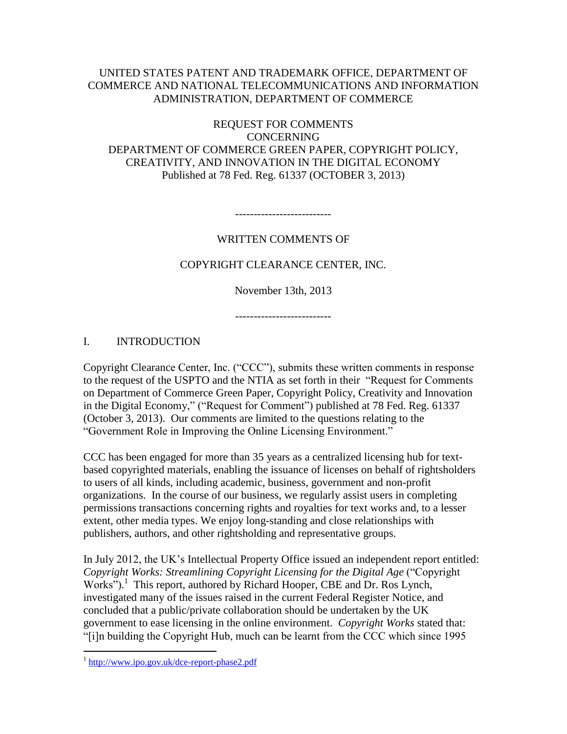## UNITED STATES PATENT AND TRADEMARK OFFICE, DEPARTMENT OF COMMERCE AND NATIONAL TELECOMMUNICATIONS AND INFORMATION ADMINISTRATION, DEPARTMENT OF COMMERCE

REQUEST FOR COMMENTS CONCERNING DEPARTMENT OF COMMERCE GREEN PAPER, COPYRIGHT POLICY, CREATIVITY, AND INNOVATION IN THE DIGITAL ECONOMY Published at 78 Fed. Reg. 61337 (OCTOBER 3, 2013)

--------------------------

## WRITTEN COMMENTS OF

COPYRIGHT CLEARANCE CENTER, INC.

November 13th, 2013

--------------------------

## I. INTRODUCTION

Copyright Clearance Center, Inc. ("CCC"), submits these written comments in response to the request of the USPTO and the NTIA as set forth in their "Request for Comments on Department of Commerce Green Paper, Copyright Policy, Creativity and Innovation in the Digital Economy," ("Request for Comment") published at 78 Fed. Reg. 61337 (October 3, 2013). Our comments are limited to the questions relating to the "Government Role in Improving the Online Licensing Environment."

CCC has been engaged for more than 35 years as a centralized licensing hub for textbased copyrighted materials, enabling the issuance of licenses on behalf of rightsholders to users of all kinds, including academic, business, government and non-profit organizations. In the course of our business, we regularly assist users in completing permissions transactions concerning rights and royalties for text works and, to a lesser extent, other media types. We enjoy long-standing and close relationships with publishers, authors, and other rightsholding and representative groups.

In July 2012, the UK's Intellectual Property Office issued an independent report entitled: *Copyright Works: Streamlining Copyright Licensing for the Digital Age* ("Copyright Works").<sup>1</sup> This report, authored by Richard Hooper, CBE and Dr. Ros Lynch, investigated many of the issues raised in the current Federal Register Notice, and concluded that a public/private collaboration should be undertaken by the UK government to ease licensing in the online environment. *Copyright Works* stated that: "[i]n building the Copyright Hub, much can be learnt from the CCC which since 1995

<sup>&</sup>lt;sup>1</sup> <http://www.ipo.gov.uk/dce-report-phase2.pdf>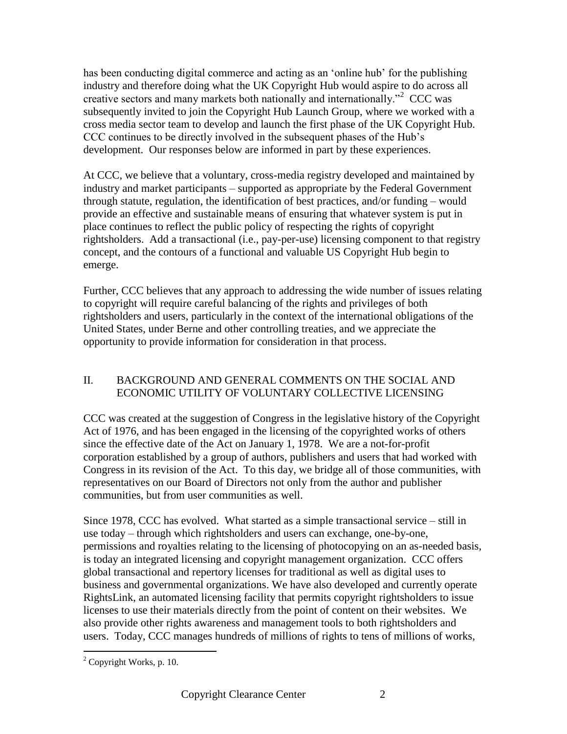has been conducting digital commerce and acting as an 'online hub' for the publishing industry and therefore doing what the UK Copyright Hub would aspire to do across all creative sectors and many markets both nationally and internationally."<sup>2</sup> CCC was subsequently invited to join the Copyright Hub Launch Group, where we worked with a cross media sector team to develop and launch the first phase of the UK Copyright Hub. CCC continues to be directly involved in the subsequent phases of the Hub's development. Our responses below are informed in part by these experiences.

At CCC, we believe that a voluntary, cross-media registry developed and maintained by industry and market participants – supported as appropriate by the Federal Government through statute, regulation, the identification of best practices, and/or funding – would provide an effective and sustainable means of ensuring that whatever system is put in place continues to reflect the public policy of respecting the rights of copyright rightsholders. Add a transactional (i.e., pay-per-use) licensing component to that registry concept, and the contours of a functional and valuable US Copyright Hub begin to emerge.

Further, CCC believes that any approach to addressing the wide number of issues relating to copyright will require careful balancing of the rights and privileges of both rightsholders and users, particularly in the context of the international obligations of the United States, under Berne and other controlling treaties, and we appreciate the opportunity to provide information for consideration in that process.

## II. BACKGROUND AND GENERAL COMMENTS ON THE SOCIAL AND ECONOMIC UTILITY OF VOLUNTARY COLLECTIVE LICENSING

CCC was created at the suggestion of Congress in the legislative history of the Copyright Act of 1976, and has been engaged in the licensing of the copyrighted works of others since the effective date of the Act on January 1, 1978. We are a not-for-profit corporation established by a group of authors, publishers and users that had worked with Congress in its revision of the Act. To this day, we bridge all of those communities, with representatives on our Board of Directors not only from the author and publisher communities, but from user communities as well.

Since 1978, CCC has evolved. What started as a simple transactional service – still in use today – through which rightsholders and users can exchange, one-by-one, permissions and royalties relating to the licensing of photocopying on an as-needed basis, is today an integrated licensing and copyright management organization. CCC offers global transactional and repertory licenses for traditional as well as digital uses to business and governmental organizations. We have also developed and currently operate RightsLink, an automated licensing facility that permits copyright rightsholders to issue licenses to use their materials directly from the point of content on their websites. We also provide other rights awareness and management tools to both rightsholders and users. Today, CCC manages hundreds of millions of rights to tens of millions of works,

 $2^2$  Copyright Works, p. 10.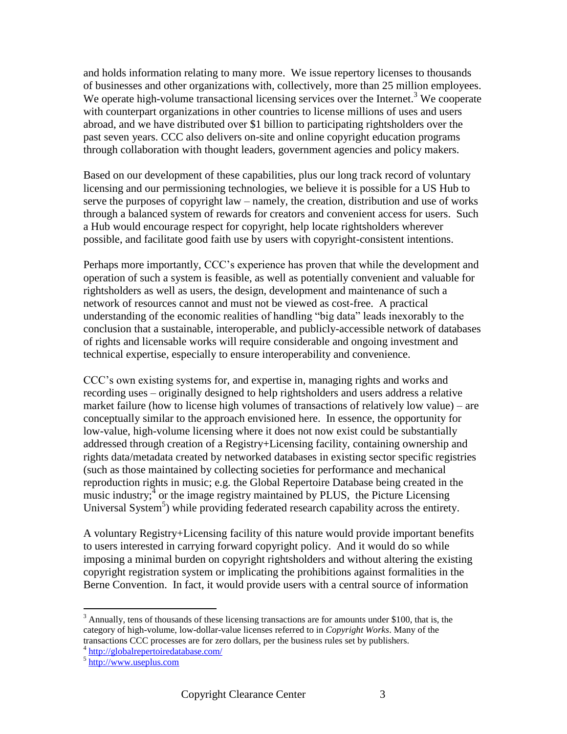and holds information relating to many more. We issue repertory licenses to thousands of businesses and other organizations with, collectively, more than 25 million employees. We operate high-volume transactional licensing services over the Internet.<sup>3</sup> We cooperate with counterpart organizations in other countries to license millions of uses and users abroad, and we have distributed over \$1 billion to participating rightsholders over the past seven years. CCC also delivers on-site and online copyright education programs through collaboration with thought leaders, government agencies and policy makers.

Based on our development of these capabilities, plus our long track record of voluntary licensing and our permissioning technologies, we believe it is possible for a US Hub to serve the purposes of copyright law – namely, the creation, distribution and use of works through a balanced system of rewards for creators and convenient access for users. Such a Hub would encourage respect for copyright, help locate rightsholders wherever possible, and facilitate good faith use by users with copyright-consistent intentions.

Perhaps more importantly, CCC's experience has proven that while the development and operation of such a system is feasible, as well as potentially convenient and valuable for rightsholders as well as users, the design, development and maintenance of such a network of resources cannot and must not be viewed as cost-free. A practical understanding of the economic realities of handling "big data" leads inexorably to the conclusion that a sustainable, interoperable, and publicly-accessible network of databases of rights and licensable works will require considerable and ongoing investment and technical expertise, especially to ensure interoperability and convenience.

CCC's own existing systems for, and expertise in, managing rights and works and recording uses – originally designed to help rightsholders and users address a relative market failure (how to license high volumes of transactions of relatively low value) – are conceptually similar to the approach envisioned here. In essence, the opportunity for low-value, high-volume licensing where it does not now exist could be substantially addressed through creation of a Registry+Licensing facility, containing ownership and rights data/metadata created by networked databases in existing sector specific registries (such as those maintained by collecting societies for performance and mechanical reproduction rights in music; e.g. the Global Repertoire Database being created in the music industry;<sup>4</sup> or the image registry maintained by PLUS, the Picture Licensing Universal System<sup>5</sup>) while providing federated research capability across the entirety.

A voluntary Registry+Licensing facility of this nature would provide important benefits to users interested in carrying forward copyright policy. And it would do so while imposing a minimal burden on copyright rightsholders and without altering the existing copyright registration system or implicating the prohibitions against formalities in the Berne Convention. In fact, it would provide users with a central source of information

 $3$  Annually, tens of thousands of these licensing transactions are for amounts under \$100, that is, the category of high-volume, low-dollar-value licenses referred to in *Copyright Works*. Many of the transactions CCC processes are for zero dollars, per the business rules set by publishers.

<sup>4</sup> <http://globalrepertoiredatabase.com/>

<sup>&</sup>lt;sup>5</sup> [http://www.useplus.com](http://www.useplus.com/)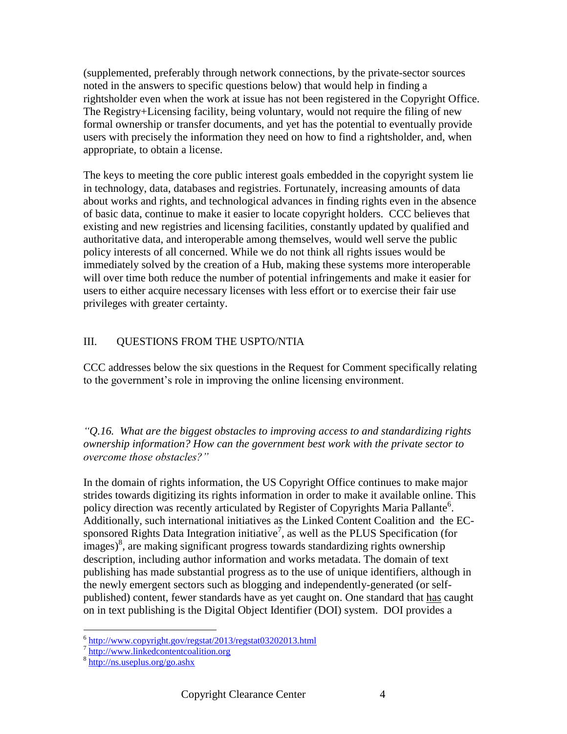(supplemented, preferably through network connections, by the private-sector sources noted in the answers to specific questions below) that would help in finding a rightsholder even when the work at issue has not been registered in the Copyright Office. The Registry+Licensing facility, being voluntary, would not require the filing of new formal ownership or transfer documents, and yet has the potential to eventually provide users with precisely the information they need on how to find a rightsholder, and, when appropriate, to obtain a license.

The keys to meeting the core public interest goals embedded in the copyright system lie in technology, data, databases and registries. Fortunately, increasing amounts of data about works and rights, and technological advances in finding rights even in the absence of basic data, continue to make it easier to locate copyright holders. CCC believes that existing and new registries and licensing facilities, constantly updated by qualified and authoritative data, and interoperable among themselves, would well serve the public policy interests of all concerned. While we do not think all rights issues would be immediately solved by the creation of a Hub, making these systems more interoperable will over time both reduce the number of potential infringements and make it easier for users to either acquire necessary licenses with less effort or to exercise their fair use privileges with greater certainty.

# III. QUESTIONS FROM THE USPTO/NTIA

CCC addresses below the six questions in the Request for Comment specifically relating to the government's role in improving the online licensing environment.

*"Q.16. What are the biggest obstacles to improving access to and standardizing rights ownership information? How can the government best work with the private sector to overcome those obstacles?"*

In the domain of rights information, the US Copyright Office continues to make major strides towards digitizing its rights information in order to make it available online. This policy direction was recently articulated by Register of Copyrights Maria Pallante<sup>6</sup>. Additionally, such international initiatives as the Linked Content Coalition and the ECsponsored Rights Data Integration initiative<sup>7</sup>, as well as the PLUS Specification (for  $\frac{1}{3}$  images)<sup>8</sup>, are making significant progress towards standardizing rights ownership description, including author information and works metadata. The domain of text publishing has made substantial progress as to the use of unique identifiers, although in the newly emergent sectors such as blogging and independently-generated (or selfpublished) content, fewer standards have as yet caught on. One standard that has caught on in text publishing is the Digital Object Identifier (DOI) system. DOI provides a

 6 <http://www.copyright.gov/regstat/2013/regstat03202013.html>

<sup>&</sup>lt;sup>7</sup> [http://www.linkedcontentcoalition.org](http://www.linkedcontentcoalition.org/)

<sup>8</sup> <http://ns.useplus.org/go.ashx>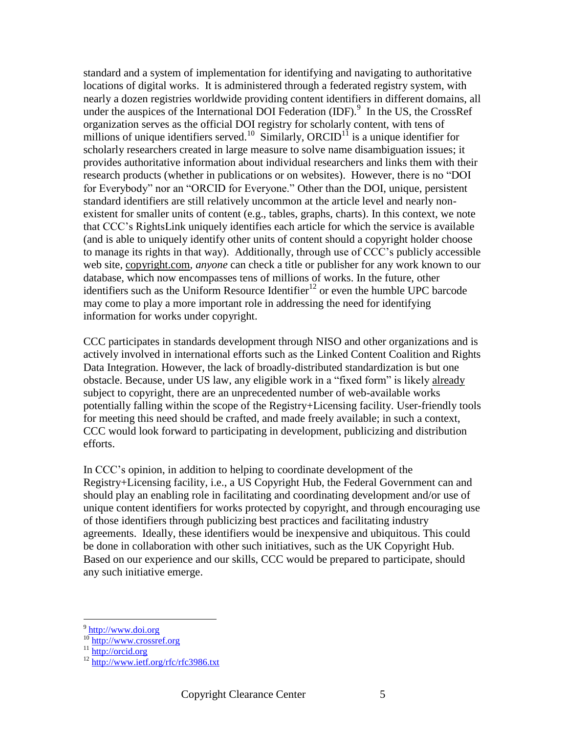standard and a system of implementation for identifying and navigating to authoritative locations of digital works. It is administered through a federated registry system, with nearly a dozen registries worldwide providing content identifiers in different domains, all under the auspices of the International DOI Federation (IDF).<sup>9</sup> In the US, the CrossRef organization serves as the official DOI registry for scholarly content, with tens of millions of unique identifiers served.<sup>10</sup> Similarly, ORCID<sup>11</sup> is a unique identifier for scholarly researchers created in large measure to solve name disambiguation issues; it provides authoritative information about individual researchers and links them with their research products (whether in publications or on websites). However, there is no "DOI for Everybody" nor an "ORCID for Everyone." Other than the DOI, unique, persistent standard identifiers are still relatively uncommon at the article level and nearly nonexistent for smaller units of content (e.g., tables, graphs, charts). In this context, we note that CCC's RightsLink uniquely identifies each article for which the service is available (and is able to uniquely identify other units of content should a copyright holder choose to manage its rights in that way). Additionally, through use of CCC's publicly accessible web site, copyright.com, *anyone* can check a title or publisher for any work known to our database, which now encompasses tens of millions of works. In the future, other identifiers such as the Uniform Resource Identifier<sup>12</sup> or even the humble UPC barcode may come to play a more important role in addressing the need for identifying information for works under copyright.

CCC participates in standards development through NISO and other organizations and is actively involved in international efforts such as the Linked Content Coalition and Rights Data Integration. However, the lack of broadly-distributed standardization is but one obstacle. Because, under US law, any eligible work in a "fixed form" is likely already subject to copyright, there are an unprecedented number of web-available works potentially falling within the scope of the Registry+Licensing facility. User-friendly tools for meeting this need should be crafted, and made freely available; in such a context, CCC would look forward to participating in development, publicizing and distribution efforts.

In CCC's opinion, in addition to helping to coordinate development of the Registry+Licensing facility, i.e., a US Copyright Hub, the Federal Government can and should play an enabling role in facilitating and coordinating development and/or use of unique content identifiers for works protected by copyright, and through encouraging use of those identifiers through publicizing best practices and facilitating industry agreements. Ideally, these identifiers would be inexpensive and ubiquitous. This could be done in collaboration with other such initiatives, such as the UK Copyright Hub. Based on our experience and our skills, CCC would be prepared to participate, should any such initiative emerge.

<sup>&</sup>lt;sup>9</sup> [http://www.doi.org](http://www.doi.org/)

<sup>&</sup>lt;sup>10</sup> [http://www.crossref.org](http://www.crossref.org/)

<sup>&</sup>lt;sup>11</sup> [http://orcid.org](http://orcid.org/)

<sup>&</sup>lt;sup>12</sup> <http://www.ietf.org/rfc/rfc3986.txt>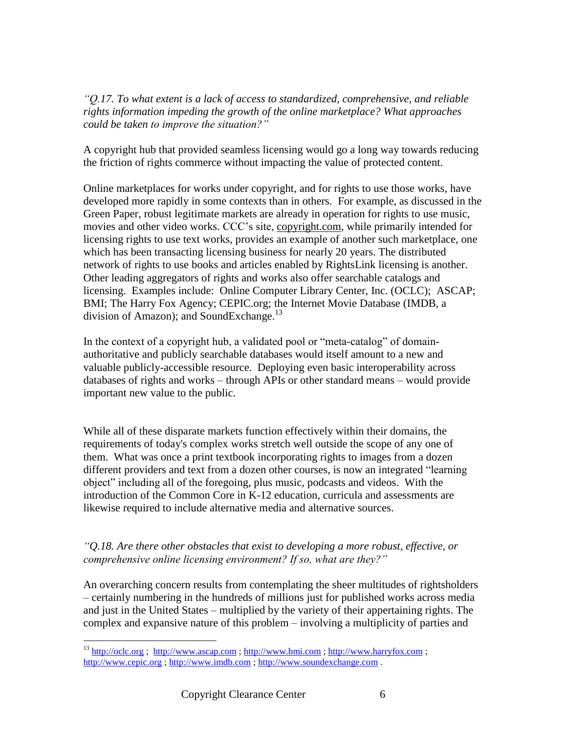*"Q.17. To what extent is a lack of access to standardized, comprehensive, and reliable rights information impeding the growth of the online marketplace? What approaches could be taken to improve the situation?"*

A copyright hub that provided seamless licensing would go a long way towards reducing the friction of rights commerce without impacting the value of protected content.

Online marketplaces for works under copyright, and for rights to use those works, have developed more rapidly in some contexts than in others. For example, as discussed in the Green Paper, robust legitimate markets are already in operation for rights to use music, movies and other video works. CCC's site, copyright.com, while primarily intended for licensing rights to use text works, provides an example of another such marketplace, one which has been transacting licensing business for nearly 20 years. The distributed network of rights to use books and articles enabled by RightsLink licensing is another. Other leading aggregators of rights and works also offer searchable catalogs and licensing. Examples include: Online Computer Library Center, Inc. (OCLC); ASCAP; BMI; The Harry Fox Agency; CEPIC.org; the Internet Movie Database (IMDB, a division of Amazon); and SoundExchange.<sup>13</sup>

In the context of a copyright hub, a validated pool or "meta-catalog" of domainauthoritative and publicly searchable databases would itself amount to a new and valuable publicly-accessible resource. Deploying even basic interoperability across databases of rights and works – through APIs or other standard means – would provide important new value to the public.

While all of these disparate markets function effectively within their domains, the requirements of today's complex works stretch well outside the scope of any one of them. What was once a print textbook incorporating rights to images from a dozen different providers and text from a dozen other courses, is now an integrated "learning object" including all of the foregoing, plus music, podcasts and videos. With the introduction of the Common Core in K-12 education, curricula and assessments are likewise required to include alternative media and alternative sources.

## *"Q.18. Are there other obstacles that exist to developing a more robust, effective, or comprehensive online licensing environment? If so, what are they?"*

An overarching concern results from contemplating the sheer multitudes of rightsholders – certainly numbering in the hundreds of millions just for published works across media and just in the United States – multiplied by the variety of their appertaining rights. The complex and expansive nature of this problem – involving a multiplicity of parties and

<sup>&</sup>lt;sup>13</sup> [http://oclc.org](http://oclc.org/); [http://www.ascap.com](http://www.ascap.com/); [http://www.bmi.com](http://www.bmi.com/)[; http://www.harryfox.com](http://www.harryfox.com/); [http://www.cepic.org](http://www.cepic.org/) ; [http://www.imdb.com](http://www.imdb.com/) ; [http://www.soundexchange.com](http://www.soundexchange.com/) .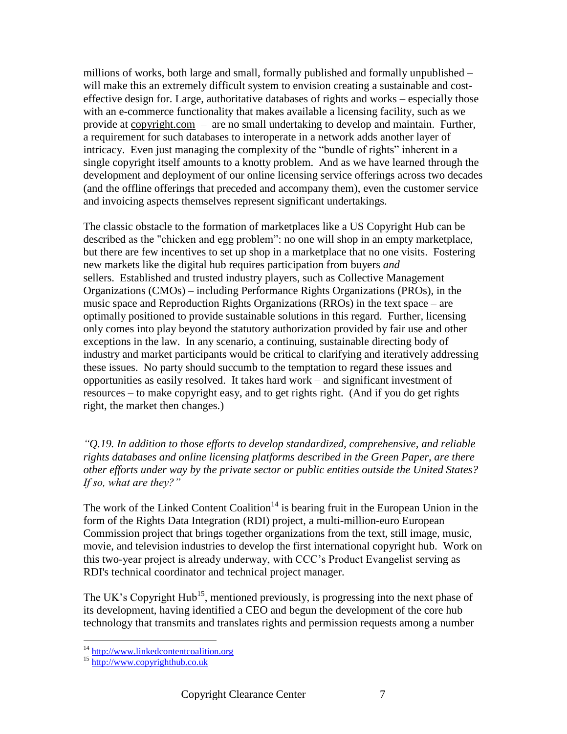millions of works, both large and small, formally published and formally unpublished  $$ will make this an extremely difficult system to envision creating a sustainable and costeffective design for. Large, authoritative databases of rights and works – especially those with an e-commerce functionality that makes available a licensing facility, such as we provide at copyright.com – are no small undertaking to develop and maintain. Further, a requirement for such databases to interoperate in a network adds another layer of intricacy. Even just managing the complexity of the "bundle of rights" inherent in a single copyright itself amounts to a knotty problem. And as we have learned through the development and deployment of our online licensing service offerings across two decades (and the offline offerings that preceded and accompany them), even the customer service and invoicing aspects themselves represent significant undertakings.

The classic obstacle to the formation of marketplaces like a US Copyright Hub can be described as the "chicken and egg problem": no one will shop in an empty marketplace, but there are few incentives to set up shop in a marketplace that no one visits. Fostering new markets like the digital hub requires participation from buyers *and* sellers. Established and trusted industry players, such as Collective Management Organizations (CMOs) – including Performance Rights Organizations (PROs), in the music space and Reproduction Rights Organizations (RROs) in the text space – are optimally positioned to provide sustainable solutions in this regard. Further, licensing only comes into play beyond the statutory authorization provided by fair use and other exceptions in the law. In any scenario, a continuing, sustainable directing body of industry and market participants would be critical to clarifying and iteratively addressing these issues. No party should succumb to the temptation to regard these issues and opportunities as easily resolved. It takes hard work – and significant investment of resources – to make copyright easy, and to get rights right. (And if you do get rights right, the market then changes.)

*"Q.19. In addition to those efforts to develop standardized, comprehensive, and reliable rights databases and online licensing platforms described in the Green Paper, are there other efforts under way by the private sector or public entities outside the United States? If so, what are they?"*

The work of the Linked Content Coalition<sup>14</sup> is bearing fruit in the European Union in the form of the Rights Data Integration (RDI) project, a multi-million-euro European Commission project that brings together organizations from the text, still image, music, movie, and television industries to develop the first international copyright hub. Work on this two-year project is already underway, with CCC's Product Evangelist serving as RDI's technical coordinator and technical project manager.

The UK's Copyright Hub<sup>15</sup>, mentioned previously, is progressing into the next phase of its development, having identified a CEO and begun the development of the core hub technology that transmits and translates rights and permission requests among a number

<sup>&</sup>lt;sup>14</sup> [http://www.linkedcontentcoalition.org](http://www.linkedcontentcoalition.org/)

<sup>&</sup>lt;sup>15</sup> [http://www.copyrighthub.co.uk](http://www.copyrighthub.co.uk/)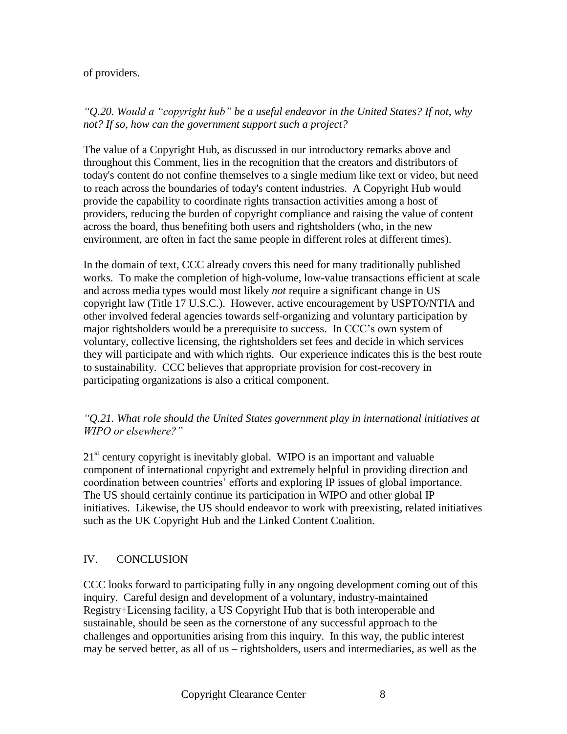#### of providers.

### *"Q.20. Would a "copyright hub" be a useful endeavor in the United States? If not, why not? If so, how can the government support such a project?*

The value of a Copyright Hub, as discussed in our introductory remarks above and throughout this Comment, lies in the recognition that the creators and distributors of today's content do not confine themselves to a single medium like text or video, but need to reach across the boundaries of today's content industries. A Copyright Hub would provide the capability to coordinate rights transaction activities among a host of providers, reducing the burden of copyright compliance and raising the value of content across the board, thus benefiting both users and rightsholders (who, in the new environment, are often in fact the same people in different roles at different times).

In the domain of text, CCC already covers this need for many traditionally published works. To make the completion of high-volume, low-value transactions efficient at scale and across media types would most likely *not* require a significant change in US copyright law (Title 17 U.S.C.). However, active encouragement by USPTO/NTIA and other involved federal agencies towards self-organizing and voluntary participation by major rightsholders would be a prerequisite to success. In CCC's own system of voluntary, collective licensing, the rightsholders set fees and decide in which services they will participate and with which rights. Our experience indicates this is the best route to sustainability. CCC believes that appropriate provision for cost-recovery in participating organizations is also a critical component.

## *"Q.21. What role should the United States government play in international initiatives at WIPO or elsewhere?"*

21<sup>st</sup> century copyright is inevitably global. WIPO is an important and valuable component of international copyright and extremely helpful in providing direction and coordination between countries' efforts and exploring IP issues of global importance. The US should certainly continue its participation in WIPO and other global IP initiatives. Likewise, the US should endeavor to work with preexisting, related initiatives such as the UK Copyright Hub and the Linked Content Coalition.

## IV. CONCLUSION

CCC looks forward to participating fully in any ongoing development coming out of this inquiry. Careful design and development of a voluntary, industry-maintained Registry+Licensing facility, a US Copyright Hub that is both interoperable and sustainable, should be seen as the cornerstone of any successful approach to the challenges and opportunities arising from this inquiry. In this way, the public interest may be served better, as all of us – rightsholders, users and intermediaries, as well as the